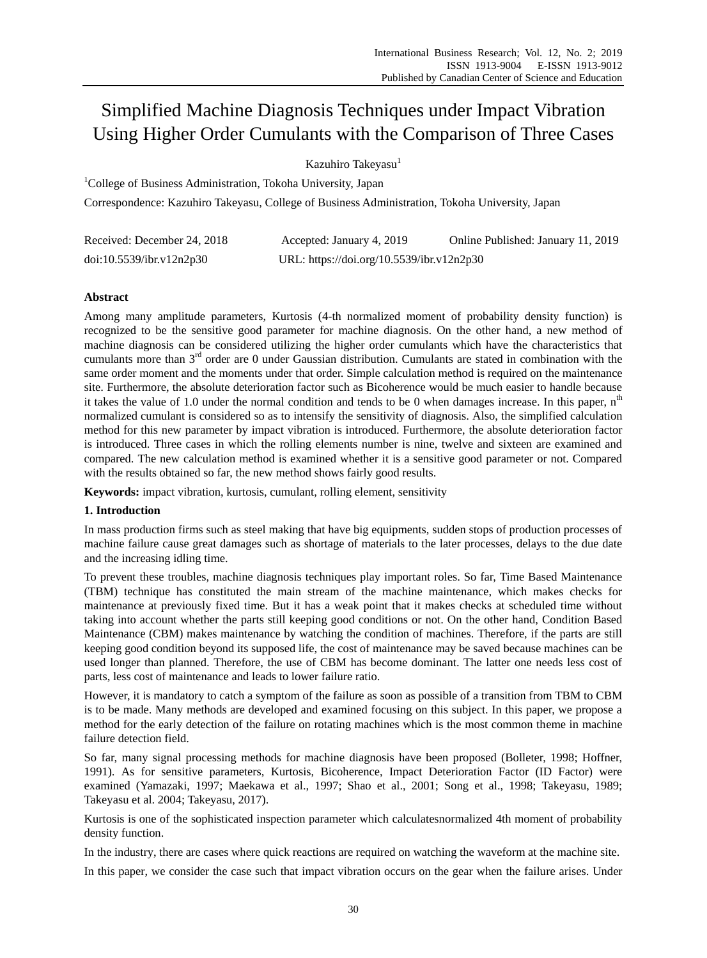# Simplified Machine Diagnosis Techniques under Impact Vibration Using Higher Order Cumulants with the Comparison of Three Cases

Kazuhiro Takeyasu<sup>1</sup>

<sup>1</sup>College of Business Administration, Tokoha University, Japan

Correspondence: Kazuhiro Takeyasu, College of Business Administration, Tokoha University, Japan

| Received: December 24, 2018 | Accepted: January 4, 2019                 | Online Published: January 11, 2019 |
|-----------------------------|-------------------------------------------|------------------------------------|
| doi:10.5539/ibr.v12n2p30    | URL: https://doi.org/10.5539/ibr.v12n2p30 |                                    |

# **Abstract**

Among many amplitude parameters, Kurtosis (4-th normalized moment of probability density function) is recognized to be the sensitive good parameter for machine diagnosis. On the other hand, a new method of machine diagnosis can be considered utilizing the higher order cumulants which have the characteristics that cumulants more than 3rd order are 0 under Gaussian distribution. Cumulants are stated in combination with the same order moment and the moments under that order. Simple calculation method is required on the maintenance site. Furthermore, the absolute deterioration factor such as Bicoherence would be much easier to handle because it takes the value of 1.0 under the normal condition and tends to be 0 when damages increase. In this paper,  $n<sup>th</sup>$ normalized cumulant is considered so as to intensify the sensitivity of diagnosis. Also, the simplified calculation method for this new parameter by impact vibration is introduced. Furthermore, the absolute deterioration factor is introduced. Three cases in which the rolling elements number is nine, twelve and sixteen are examined and compared. The new calculation method is examined whether it is a sensitive good parameter or not. Compared with the results obtained so far, the new method shows fairly good results.

**Keywords:** impact vibration, kurtosis, cumulant, rolling element, sensitivity

# **1. Introduction**

In mass production firms such as steel making that have big equipments, sudden stops of production processes of machine failure cause great damages such as shortage of materials to the later processes, delays to the due date and the increasing idling time.

To prevent these troubles, machine diagnosis techniques play important roles. So far, Time Based Maintenance (TBM) technique has constituted the main stream of the machine maintenance, which makes checks for maintenance at previously fixed time. But it has a weak point that it makes checks at scheduled time without taking into account whether the parts still keeping good conditions or not. On the other hand, Condition Based Maintenance (CBM) makes maintenance by watching the condition of machines. Therefore, if the parts are still keeping good condition beyond its supposed life, the cost of maintenance may be saved because machines can be used longer than planned. Therefore, the use of CBM has become dominant. The latter one needs less cost of parts, less cost of maintenance and leads to lower failure ratio.

However, it is mandatory to catch a symptom of the failure as soon as possible of a transition from TBM to CBM is to be made. Many methods are developed and examined focusing on this subject. In this paper, we propose a method for the early detection of the failure on rotating machines which is the most common theme in machine failure detection field.

So far, many signal processing methods for machine diagnosis have been proposed (Bolleter, 1998; Hoffner, 1991). As for sensitive parameters, Kurtosis, Bicoherence, Impact Deterioration Factor (ID Factor) were examined (Yamazaki, 1997; Maekawa et al., 1997; Shao et al., 2001; Song et al., 1998; Takeyasu, 1989; Takeyasu et al. 2004; Takeyasu, 2017).

Kurtosis is one of the sophisticated inspection parameter which calculatesnormalized 4th moment of probability density function.

In the industry, there are cases where quick reactions are required on watching the waveform at the machine site.

In this paper, we consider the case such that impact vibration occurs on the gear when the failure arises. Under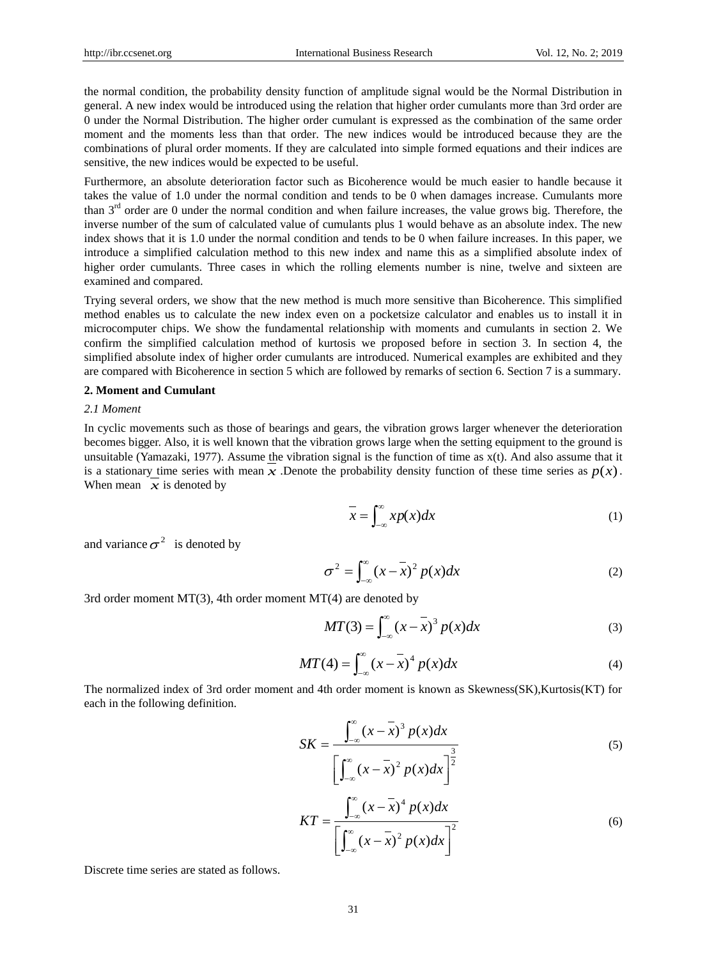the normal condition, the probability density function of amplitude signal would be the Normal Distribution in general. A new index would be introduced using the relation that higher order cumulants more than 3rd order are 0 under the Normal Distribution. The higher order cumulant is expressed as the combination of the same order moment and the moments less than that order. The new indices would be introduced because they are the combinations of plural order moments. If they are calculated into simple formed equations and their indices are sensitive, the new indices would be expected to be useful.

Furthermore, an absolute deterioration factor such as Bicoherence would be much easier to handle because it takes the value of 1.0 under the normal condition and tends to be 0 when damages increase. Cumulants more than  $3<sup>rd</sup>$  order are 0 under the normal condition and when failure increases, the value grows big. Therefore, the inverse number of the sum of calculated value of cumulants plus 1 would behave as an absolute index. The new index shows that it is 1.0 under the normal condition and tends to be 0 when failure increases. In this paper, we introduce a simplified calculation method to this new index and name this as a simplified absolute index of higher order cumulants. Three cases in which the rolling elements number is nine, twelve and sixteen are examined and compared.

Trying several orders, we show that the new method is much more sensitive than Bicoherence. This simplified method enables us to calculate the new index even on a pocketsize calculator and enables us to install it in microcomputer chips. We show the fundamental relationship with moments and cumulants in section 2. We confirm the simplified calculation method of kurtosis we proposed before in section 3. In section 4, the simplified absolute index of higher order cumulants are introduced. Numerical examples are exhibited and they are compared with Bicoherence in section 5 which are followed by remarks of section 6. Section 7 is a summary.

## **2. Moment and Cumulant**

#### *2.1 Moment*

In cyclic movements such as those of bearings and gears, the vibration grows larger whenever the deterioration becomes bigger. Also, it is well known that the vibration grows large when the setting equipment to the ground is unsuitable (Yamazaki, 1977). Assume the vibration signal is the function of time as  $x(t)$ . And also assume that it is a stationary time series with mean  $\overline{x}$ . Denote the probability density function of these time series as  $p(x)$ . When mean  $\overline{x}$  is denoted by

$$
\overline{x} = \int_{-\infty}^{\infty} x p(x) dx
$$
 (1)

and variance  $\sigma^2$  is denoted by

$$
\sigma^2 = \int_{-\infty}^{\infty} (x - \overline{x})^2 p(x) dx
$$
 (2)

3rd order moment  $MT(3)$ , 4th order moment  $MT(4)$  are denoted by

$$
MT(3) = \int_{-\infty}^{\infty} (x - \overline{x})^3 p(x) dx
$$
 (3)

$$
MT(4) = \int_{-\infty}^{\infty} (x - \overline{x})^4 p(x) dx
$$
 (4)

The normalized index of 3rd order moment and 4th order moment is known as Skewness(SK),Kurtosis(KT) for each in the following definition.

$$
SK = \frac{\int_{-\infty}^{\infty} (x - \overline{x})^3 p(x) dx}{\left[\int_{-\infty}^{\infty} (x - \overline{x})^2 p(x) dx\right]^{\frac{3}{2}}}
$$
(5)

$$
KT = \frac{\int_{-\infty}^{\infty} (x - \overline{x})^4 p(x) dx}{\left[ \int_{-\infty}^{\infty} (x - \overline{x})^2 p(x) dx \right]^2}
$$
(6)

Discrete time series are stated as follows.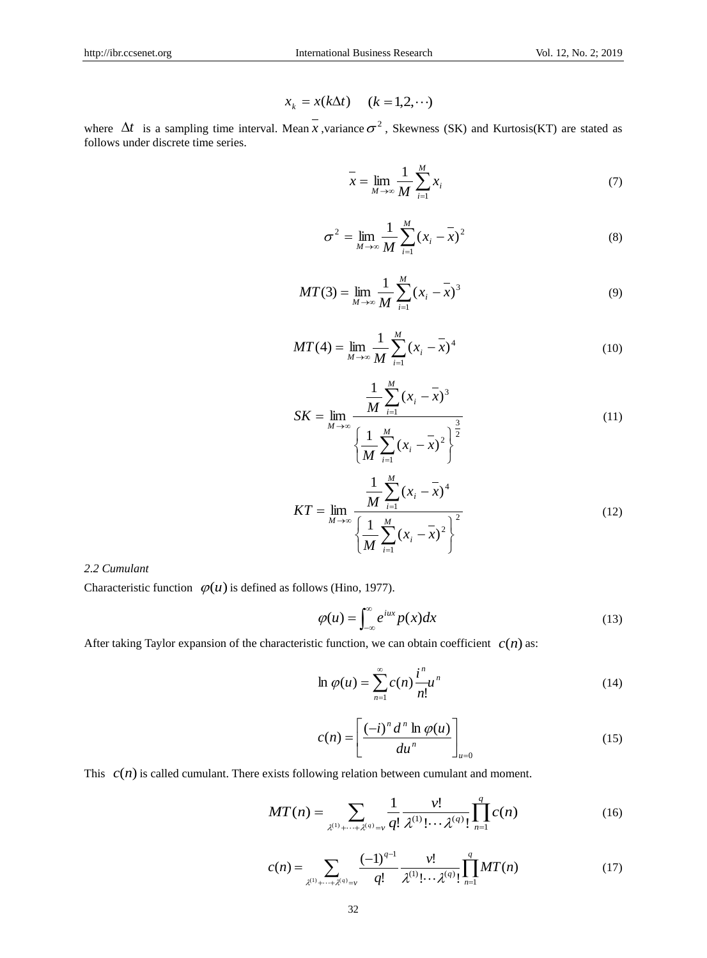$$
x_k = x(k\Delta t) \quad (k = 1, 2, \cdots)
$$

where  $\Delta t$  is a sampling time interval. Mean *x*, variance  $\sigma^2$ , Skewness (SK) and Kurtosis(KT) are stated as follows under discrete time series.

$$
\bar{x} = \lim_{M \to \infty} \frac{1}{M} \sum_{i=1}^{M} x_i
$$
\n(7)

$$
\sigma^2 = \lim_{M \to \infty} \frac{1}{M} \sum_{i=1}^{M} (x_i - \bar{x})^2
$$
 (8)

$$
MT(3) = \lim_{M \to \infty} \frac{1}{M} \sum_{i=1}^{M} (x_i - \overline{x})^3
$$
 (9)

$$
MT(4) = \lim_{M \to \infty} \frac{1}{M} \sum_{i=1}^{M} (x_i - \bar{x})^4
$$
 (10)

$$
x_{k} = x(k\Delta t) \t(k = 1, 2, \cdots)
$$
  
\nMean  $\overline{x}$ , variance  $\sigma^{2}$ , Skewness (SK) and Kurtosis(KT) are stated as  
\n
$$
\overline{x} = \lim_{M \to \infty} \frac{1}{M} \sum_{i=1}^{M} x_{i}
$$
\n(7)  
\n
$$
\sigma^{2} = \lim_{M \to \infty} \frac{1}{M} \sum_{i=1}^{M} (x_{i} - \overline{x})^{2}
$$
\n(8)  
\n
$$
MT(3) = \lim_{M \to \infty} \frac{1}{M} \sum_{i=1}^{M} (x_{i} - \overline{x})^{3}
$$
\n(9)  
\n
$$
MT(4) = \lim_{M \to \infty} \frac{1}{M} \sum_{i=1}^{M} (x_{i} - \overline{x})^{4}
$$
\n(10)  
\n
$$
\frac{1}{M} \sum_{i=1}^{M} (x_{i} - \overline{x})^{3}
$$
\n(11)  
\n
$$
\left\{\frac{1}{M} \sum_{i=1}^{M} (x_{i} - \overline{x})^{2}\right\}^{2}
$$
\n(12)  
\n
$$
\left\{\frac{1}{M} \sum_{i=1}^{M} (x_{i} - \overline{x})^{2}\right\}^{2}
$$
\n(12)  
\n
$$
\left\{\frac{1}{M} \sum_{i=1}^{M} (x_{i} - \overline{x})^{2}\right\}^{2}
$$
\n(12)  
\n
$$
\varphi(u) = \int_{-\infty}^{\infty} e^{iux} p(x) dx
$$
\n(13)  
\n
$$
\text{tcfistic function, we can obtain coefficient } c(n) \text{ as:}
$$
\n
$$
\ln \varphi(u) = \sum_{n=1}^{\infty} c(n) \frac{i^{n}}{n!} u^{n}
$$
\n(14)  
\n
$$
c(n) = \left[\frac{(-i)^{n} d^{n} \ln \varphi(u)}{du^{n}}\right]_{u=0}
$$
\n(15)  
\n
$$
\text{s following relation between cumulant and moment.}
$$
\n
$$
\Gamma(n) = \sum_{\chi^{(1)} + \cdots + \chi^{(q)} = \gamma} \frac{1}{q!} \
$$

$$
KT = \lim_{M \to \infty} \frac{\frac{1}{M} \sum_{i=1}^{m} (x_i - \bar{x})^4}{\left\{ \frac{1}{M} \sum_{i=1}^{M} (x_i - \bar{x})^2 \right\}^2}
$$
(12)

# *2.2 Cumulant*

Characteristic function  $\varphi(u)$  is defined as follows (Hino, 1977).

$$
\varphi(u) = \int_{-\infty}^{\infty} e^{iux} p(x) dx \tag{13}
$$

After taking Taylor expansion of the characteristic function, we can obtain coefficient  $c(n)$  as:

$$
\ln \varphi(u) = \sum_{n=1}^{\infty} c(n) \frac{i^n}{n!} u^n \tag{14}
$$

$$
c(n) = \left[\frac{(-i)^n d^n \ln \varphi(u)}{du^n}\right]_{u=0}
$$
 (15)

This  $c(n)$  is called cumulant. There exists following relation between cumulant and moment.

$$
MT(n) = \sum_{\lambda^{(1)} + \dots + \lambda^{(q)} = \nu} \frac{1}{q!} \frac{\nu!}{\lambda^{(1)}! \cdots \lambda^{(q)}} \prod_{n=1}^{q} c(n)
$$
 (16)

$$
c(n) = \sum_{\lambda^{(1)} + \dots + \lambda^{(q)} = \nu} \frac{(-1)^{q-1}}{q!} \frac{\nu!}{\lambda^{(1)}! \cdots \lambda^{(q)}} \prod_{n=1}^{q} MT(n)
$$
(17)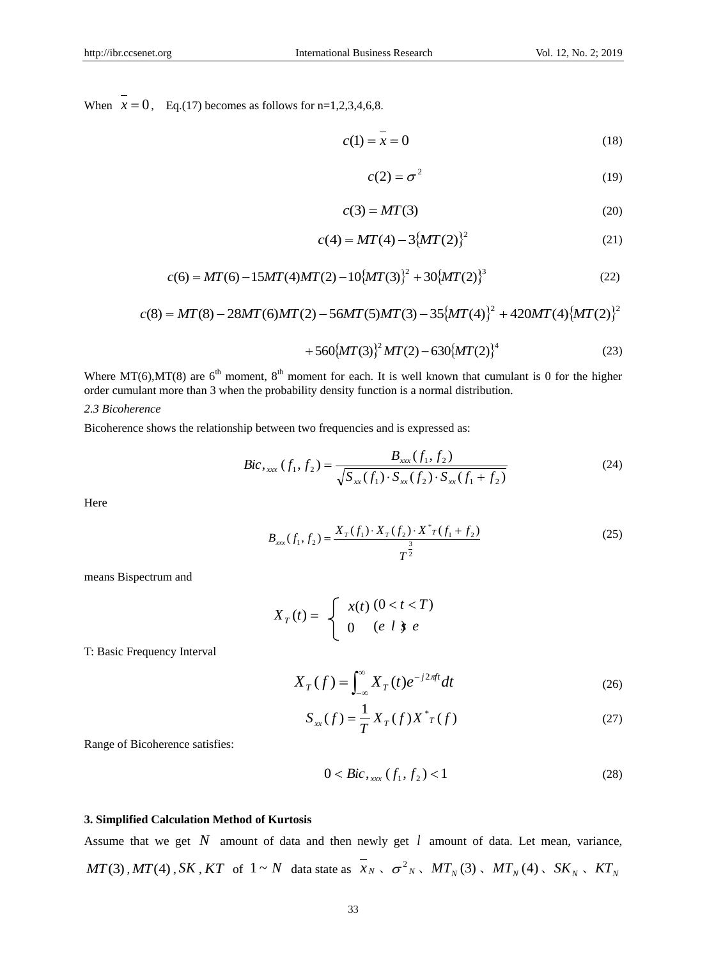When  $x = 0$ , Eq.(17) becomes as follows for n=1,2,3,4,6,8.

$$
c(1) = x = 0 \tag{18}
$$

$$
c(2) = \sigma^2 \tag{19}
$$

$$
c(3) = MT(3) \tag{20}
$$

$$
c(4) = MT(4) - 3\{MT(2)\}^2
$$
 (21)

$$
c(6) = MT(6) - 15MT(4)MT(2) - 10\{MT(3)\}^2 + 30\{MT(2)\}^3
$$
\n(22)

$$
c(8) = MT(8) - 28MT(6)MT(2) - 56MT(5)MT(3) - 35{MT(4)}2 + 420MT(4){MT(2)}2
$$

$$
+560\{MT(3)\}^{2}MT(2)-630\{MT(2)\}^{4}
$$
\n(23)

Where MT(6), MT(8) are  $6<sup>th</sup>$  moment,  $8<sup>th</sup>$  moment for each. It is well known that cumulant is 0 for the higher order cumulant more than 3 when the probability density function is a normal distribution.

*2.3 Bicoherence*

Bicoherence shows the relationship between two frequencies and is expressed as:

$$
Bic_{\mathbf{x}_{xx}}(f_1, f_2) = \frac{B_{\mathbf{x}_{xx}}(f_1, f_2)}{\sqrt{S_{\mathbf{x}_{xx}}(f_1) \cdot S_{\mathbf{x}_{xx}}(f_2) \cdot S_{\mathbf{x}_{xx}}(f_1 + f_2)}}
$$
(24)

Here

$$
B_{xxx}(f_1, f_2) = \frac{X_T(f_1) \cdot X_T(f_2) \cdot X^*T(f_1 + f_2)}{T^{\frac{3}{2}}}
$$
\n(25)

means Bispectrum and

$$
X_T(t) = \begin{cases} x(t) (0 < t < T) \\ 0 \quad (e \ l \ \mathfrak{z} \ e \end{cases}
$$

T: Basic Frequency Interval

$$
X_T(f) = \int_{-\infty}^{\infty} X_T(t)e^{-j2\pi ft}dt
$$
 (26)

$$
S_{xx}(f) = \frac{1}{T} X_T(f) X^* T(f)
$$
 (27)

Range of Bicoherence satisfies:

$$
0 < Bic_{\max}(f_1, f_2) < 1 \tag{28}
$$

## **3. Simplified Calculation Method of Kurtosis**

Assume that we get  $N$  amount of data and then newly get  $l$  amount of data. Let mean, variance,  $MT(3)$ ,  $MT(4)$ ,  $SK$ ,  $KT$  of  $1 \sim N$  data state as  $x_N \sim \sigma^2_N$ ,  $MT_N(3)$ ,  $MT_N(4)$ ,  $SK_N \sim KT_N$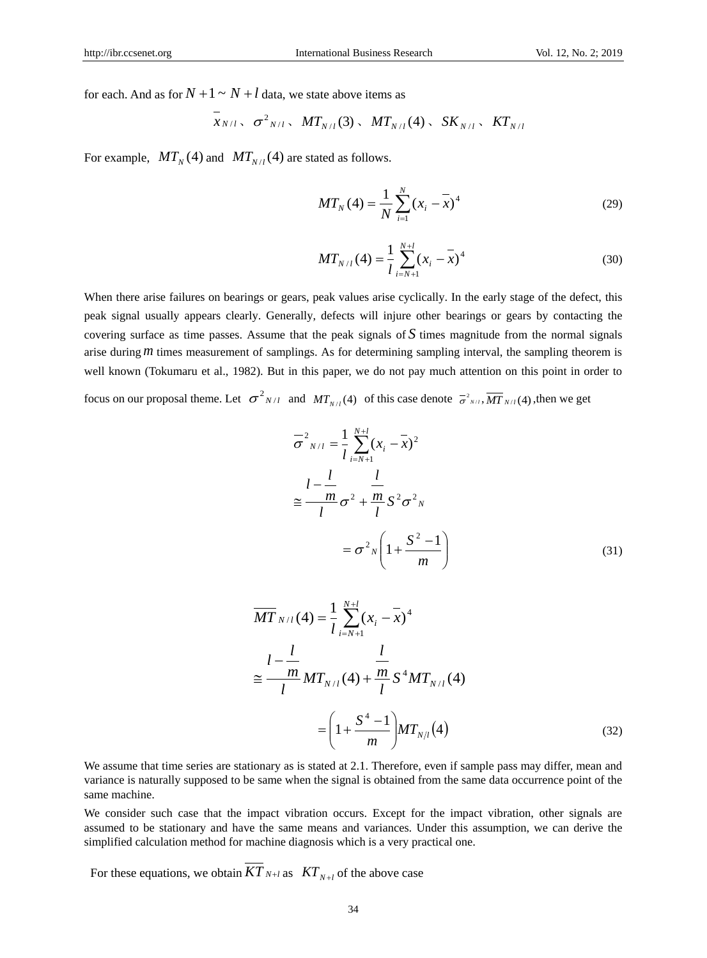for each. And as for  $N + 1 \sim N + l$  data, we state above items as

$$
x_{N/l}
$$
,  $\sigma^2_{N/l}$ ,  $MT_{N/l}(3)$ ,  $MT_{N/l}(4)$ ,  $SK_{N/l}$ ,  $KT_{N/l}$ 

For example,  $MT_N(4)$  and  $MT_{N/l}(4)$  are stated as follows.

$$
MT_{N}(4) = \frac{1}{N} \sum_{i=1}^{N} (x_{i} - \overline{x})^{4}
$$
 (29)

$$
MT_{N/l}(4) = \frac{1}{l} \sum_{i=N+1}^{N+l} (x_i - \overline{x})^4
$$
 (30)

When there arise failures on bearings or gears, peak values arise cyclically. In the early stage of the defect, this peak signal usually appears clearly. Generally, defects will injure other bearings or gears by contacting the covering surface as time passes. Assume that the peak signals of *S* times magnitude from the normal signals arise during *m* times measurement of samplings. As for determining sampling interval, the sampling theorem is well known (Tokumaru et al., 1982). But in this paper, we do not pay much attention on this point in order to focus on our proposal theme. Let  $\sigma^2_{N/l}$  and  $MT_{N/l}(4)$  of this case denote  $\sigma^2_{N/l}$ ,  $\overline{MT}_{N/l}(4)$ , then we get

$$
N/I \times I
$$

$$
\overline{\sigma}^{2}{}_{N/l} = \frac{1}{l} \sum_{i=N+1}^{N+l} (x_{i} - \overline{x})^{2}
$$
  

$$
\approx \frac{l - \frac{l}{m}}{l} \sigma^{2} + \frac{m}{l} S^{2} \sigma^{2}{}_{N}
$$
  

$$
= \sigma^{2}{}_{N} \left( 1 + \frac{S^{2} - 1}{m} \right)
$$
 (31)

$$
\overline{MT}_{N/l}(4) = \frac{1}{l} \sum_{i=N+1}^{N+l} (x_i - \overline{x})^4
$$
  

$$
\approx \frac{l - \frac{l}{m}}{l} MT_{N/l}(4) + \frac{m}{l} S^4 MT_{N/l}(4)
$$
  

$$
= \left(1 + \frac{S^4 - 1}{m}\right) MT_{N/l}(4)
$$
 (32)

We assume that time series are stationary as is stated at 2.1. Therefore, even if sample pass may differ, mean and variance is naturally supposed to be same when the signal is obtained from the same data occurrence point of the same machine.

We consider such case that the impact vibration occurs. Except for the impact vibration, other signals are assumed to be stationary and have the same means and variances. Under this assumption, we can derive the simplified calculation method for machine diagnosis which is a very practical one.

For these equations, we obtain  $KT_{N+l}$  as  $KT_{N+l}$  of the above case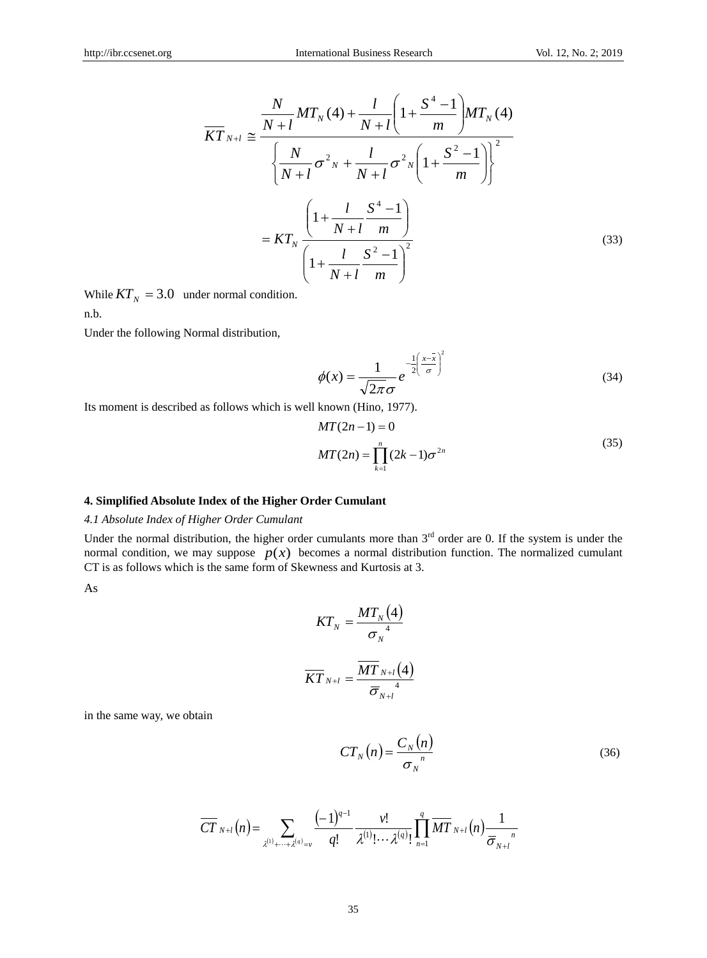$$
\overline{KT}_{N+l} \cong \frac{\frac{N}{N+l}MT_N(4) + \frac{l}{N+l} \left(1 + \frac{S^4 - 1}{m}\right) MT_N(4)}{\left\{\frac{N}{N+l} \sigma^2 N + \frac{l}{N+l} \sigma^2 N \left(1 + \frac{S^2 - 1}{m}\right)\right\}^2}
$$
\n
$$
= KT_N \frac{\left(1 + \frac{l}{N+l} \frac{S^4 - 1}{m}\right)}{\left(1 + \frac{l}{N+l} \frac{S^2 - 1}{m}\right)^2}
$$
\n(33)

While  $KT_N = 3.0$  under normal condition. n.b.

Under the following Normal distribution,

$$
\phi(x) = \frac{1}{\sqrt{2\pi}\sigma} e^{-\frac{1}{2}\left(\frac{x-\overline{x}}{\sigma}\right)^2}
$$
(34)

Its moment is described as follows which is well known (Hino, 1977).

$$
MT(2n-1) = 0
$$
  
 
$$
MT(2n) = \prod_{k=1}^{n} (2k-1)\sigma^{2n}
$$
 (35)

## **4. Simplified Absolute Index of the Higher Order Cumulant**

# *4.1 Absolute Index of Higher Order Cumulant*

Under the normal distribution, the higher order cumulants more than  $3<sup>rd</sup>$  order are 0. If the system is under the normal condition, we may suppose  $p(x)$  becomes a normal distribution function. The normalized cumulant CT is as follows which is the same form of Skewness and Kurtosis at 3.

As

$$
KT_{N} = \frac{MT_{N}(4)}{\sigma_{N}^{4}}
$$

$$
\overline{KT}_{N+l} = \frac{\overline{MT}_{N+l}(4)}{\overline{\sigma}_{N+l}^{4}}
$$

in the same way, we obtain

$$
CT_N(n) = \frac{C_N(n)}{\sigma_N^n}
$$
\n(36)

$$
\overline{CT}_{N+l}(n) = \sum_{\lambda^{(1)}+\cdots+\lambda^{(q)}=v} \frac{(-1)^{q-1}}{q!} \frac{\nu!}{\lambda^{(1)}!\cdots\lambda^{(q)}!} \prod_{n=1}^q \overline{MT}_{N+l}(n) \frac{1}{\overline{\sigma}_{N+l}}.
$$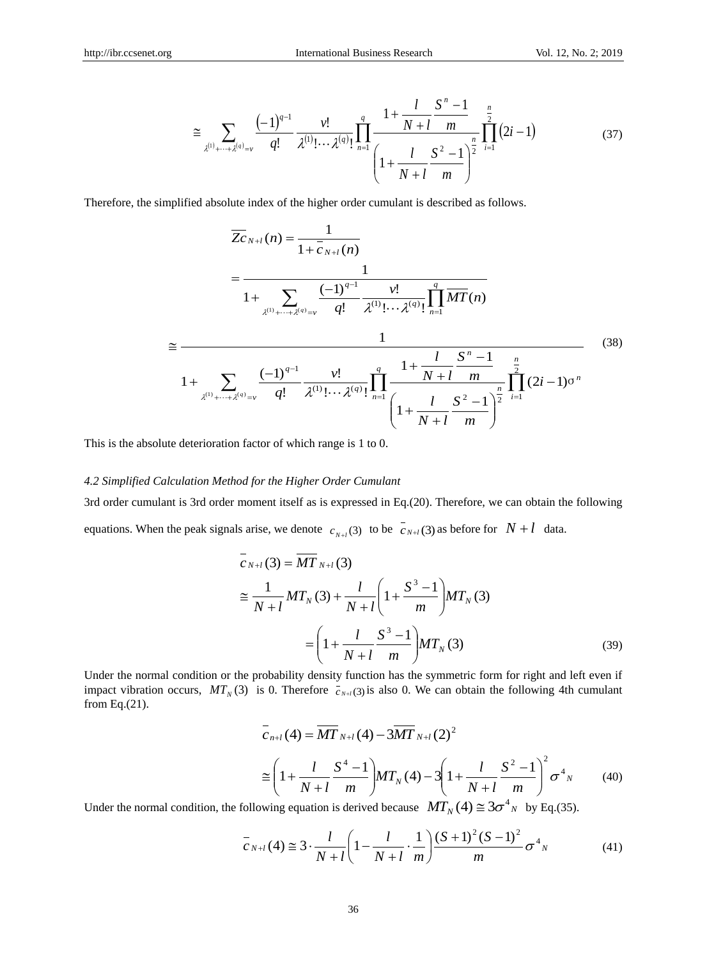$\overline{1}$ 

$$
\cong \sum_{\lambda^{(1)}+\cdots+\lambda^{(q)}=v} \frac{(-1)^{q-1}}{q!} \frac{\nu!}{\lambda^{(1)}!\cdots\lambda^{(q)}} \prod_{n=1}^{q} \frac{1+\frac{l}{N+l}\frac{S^n-1}{m}}{\left(1+\frac{l}{N+l}\frac{S^2-1}{m}\right)^{\frac{n}{2}}} \prod_{i=1}^{n} (2i-1) \tag{37}
$$

Therefore, the simplified absolute index of the higher order cumulant is described as follows.

$$
\overline{Z}_{N+l}(n) = \frac{1}{1 + \overline{c}_{N+l}(n)}
$$
\n
$$
= \frac{1}{1 + \sum_{\chi^{(1)} + \dots + \chi^{(q)} = \nu} \frac{(-1)^{q-1}}{q!} \frac{\nu!}{\chi^{(1)}! \cdots \chi^{(q)}!} \prod_{n=1}^{q} \overline{MT}(n)}
$$
\n
$$
\approx \frac{1}{1 + \sum_{\chi^{(1)} + \dots + \chi^{(q)} = \nu} \frac{(-1)^{q-1}}{q!} \frac{\nu!}{\chi^{(1)}! \cdots \chi^{(q)}!} \prod_{n=1}^{q} \frac{1 + \frac{l}{N+l} \frac{S^n - 1}{m}}{\left(1 + \frac{l}{N+l} \frac{S^2 - 1}{m}\right)^{\frac{n}{2}}} \prod_{i=1}^{n} (2i - 1)^{\sigma^n}}
$$
\n(38)

This is the absolute deterioration factor of which range is 1 to 0.

#### *4.2 Simplified Calculation Method for the Higher Order Cumulant*

3rd order cumulant is 3rd order moment itself as is expressed in Eq.(20). Therefore, we can obtain the following equations. When the peak signals arise, we denote  $c_{N+l}(3)$  to be  $\overline{c}_{N+l}(3)$  as before for  $N+l$  data.

$$
\overline{c}_{N+l}(3) = \overline{MT}_{N+l}(3)
$$
\n
$$
\approx \frac{1}{N+l}MT_N(3) + \frac{l}{N+l}\left(1 + \frac{S^3 - 1}{m}\right)MT_N(3)
$$
\n
$$
= \left(1 + \frac{l}{N+l} \frac{S^3 - 1}{m}\right)MT_N(3) \tag{39}
$$

Under the normal condition or the probability density function has the symmetric form for right and left even if impact vibration occurs,  $MT_N(3)$  is 0. Therefore  $\bar{c}_{N+1}(3)$  is also 0. We can obtain the following 4th cumulant from Eq.(21).

$$
\overline{c}_{n+l}(4) = \overline{MT}_{N+l}(4) - 3\overline{MT}_{N+l}(2)^{2}
$$
\n
$$
\approx \left(1 + \frac{l}{N+l} \frac{S^{4} - 1}{m}\right) MT_{N}(4) - 3\left(1 + \frac{l}{N+l} \frac{S^{2} - 1}{m}\right)^{2} \sigma^{4} N \qquad (40)
$$

Under the normal condition, the following equation is derived because  $MT_N(4) \cong 3\sigma^4{}_N$  by Eq.(35).

$$
\overline{c}_{N+l}(4) \cong 3 \cdot \frac{l}{N+l} \left(1 - \frac{l}{N+l} \cdot \frac{1}{m}\right) \frac{(S+1)^2 (S-1)^2}{m} \sigma^4_{N} \tag{41}
$$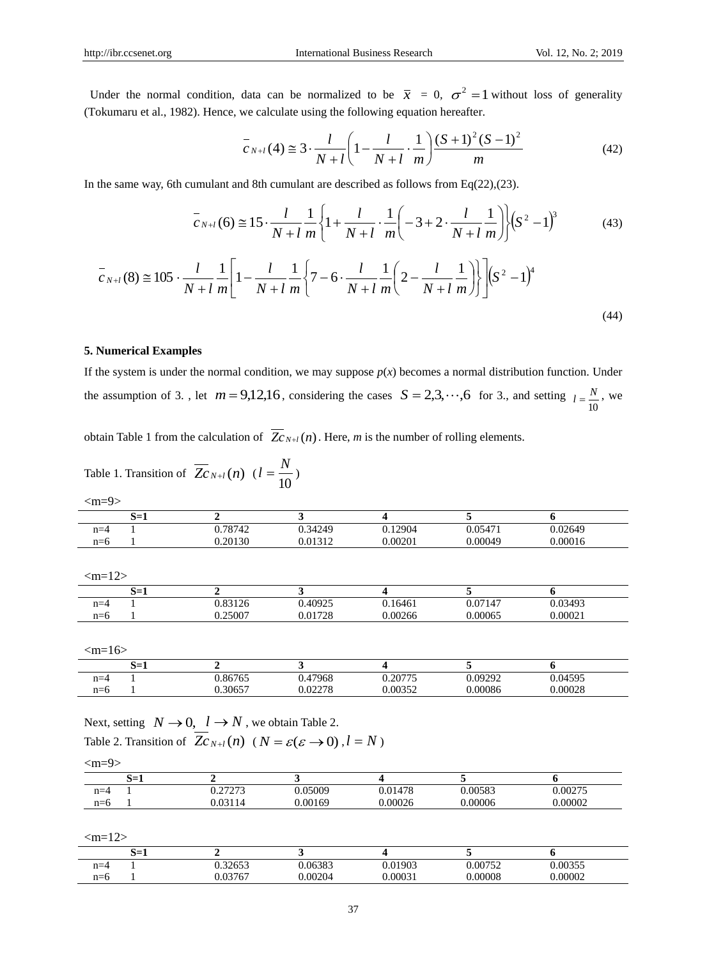Under the normal condition, data can be normalized to be  $\bar{x} = 0$ ,  $\sigma^2 = 1$  without loss of generality (Tokumaru et al., 1982). Hence, we calculate using the following equation hereafter.

$$
\overline{c}_{N+l}(4) \cong 3 \cdot \frac{l}{N+l} \left(1 - \frac{l}{N+l} \cdot \frac{1}{m}\right) \frac{(S+1)^2 (S-1)^2}{m}
$$
(42)

In the same way, 6th cumulant and 8th cumulant are described as follows from  $Eq(22),(23)$ .

$$
\overline{c}_{N+l}(6) \cong 15 \cdot \frac{l}{N+l} \frac{1}{m} \left\{ 1 + \frac{l}{N+l} \cdot \frac{1}{m} \left( -3 + 2 \cdot \frac{l}{N+l} \frac{1}{m} \right) \right\} (S^2 - 1)^3 \tag{43}
$$

$$
\overline{c}_{N+l}(8) \cong 105 \cdot \frac{l}{N+l} \frac{1}{m} \left[ 1 - \frac{l}{N+l} \frac{1}{m} \left\{ 7 - 6 \cdot \frac{l}{N+l} \frac{1}{m} \left( 2 - \frac{l}{N+l} \frac{1}{m} \right) \right\} \right] \left( S^2 - 1 \right)^4
$$
\n(44)

#### **5. Numerical Examples**

If the system is under the normal condition, we may suppose  $p(x)$  becomes a normal distribution function. Under the assumption of 3., let  $m = 9,12,16$ , considering the cases  $S = 2,3,\dots,6$  for 3., and setting 10  $l = \frac{N}{10}$ , we

obtain Table 1 from the calculation of  $Z_{CN+1}(n)$ . Here, *m* is the number of rolling elements.

| Table 1. Transition of $\overline{Z}_{N+l}(n)$ $(l = \frac{N}{10})$ |  |
|---------------------------------------------------------------------|--|
|                                                                     |  |

| 0.05471<br>0.02649 |
|--------------------|
| 0.00049<br>0.00016 |
|                    |

|       | S=1 |         |                     |         |         |         |
|-------|-----|---------|---------------------|---------|---------|---------|
| $n=4$ |     | 0.83126 | 0.40925<br>$\Omega$ | 0.16461 | 0.07147 | 0.03493 |
| $n=6$ |     | 0.25007 | 0.01728             | 0.00266 | 0.00065 | 0.00021 |

 $\m{m=}16$ 

|                 | $\sim$<br>- 4<br>--<br>0-1 |         |                    |                 |         |         |
|-----------------|----------------------------|---------|--------------------|-----------------|---------|---------|
| $n - \Delta$    |                            | 0.86765 | 47968              | 20775<br>$\sim$ | 0.09292 | 0.04595 |
| $n - n$<br>11–U |                            | .30657  | በ በንን7Ջ<br>J.72210 | 0.00352         | 0.00086 | 0.00028 |

Next, setting  $N \rightarrow 0$ ,  $l \rightarrow N$ , we obtain Table 2. Table 2. Transition of  $Z_{CN+1}(n)$  ( $N = \varepsilon(\varepsilon \to 0)$ ,  $l = N$ )

|--|

|         | ~–<br>ບ−⊥ |                      |        |         |         |         |
|---------|-----------|----------------------|--------|---------|---------|---------|
| $n = 4$ |           | 27272<br>$1 - 1 - 1$ | .05009 | 0.01478 | 0.00583 | 0.00275 |
| $n=6$   |           | $\Omega$             | 00169  | 0.00026 | 00006   | 0.00002 |

 $\m{cm} = 12$ 

|       | . —<br>0-1 |         |         |         |         |         |
|-------|------------|---------|---------|---------|---------|---------|
| $n=4$ |            | 0.32653 | 0.06383 | 0.01903 | 0.00752 | 0.00355 |
| n=6   |            | 03767   | 0.00204 | .0003   | 0.00008 | 0.00002 |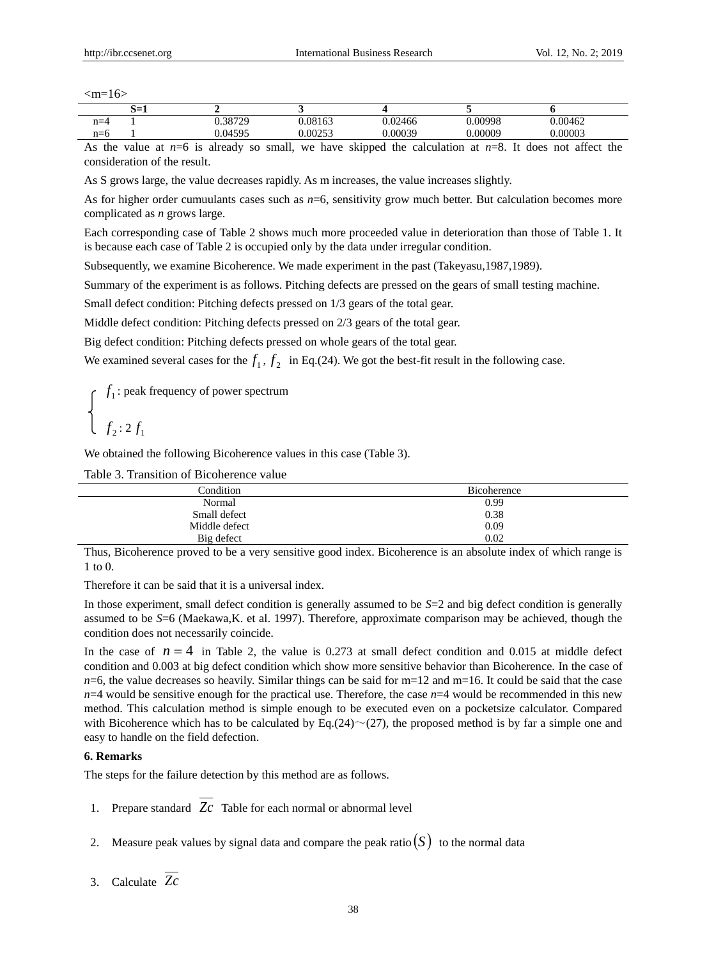|       | - 4<br>--<br>0-l |         |         |        |        |        |
|-------|------------------|---------|---------|--------|--------|--------|
| $n=4$ |                  | 0.38729 | 1.08163 | 02466  | .00998 | .00462 |
| $n=6$ |                  | 04595   | 00253.  | .00039 | .00009 | .00003 |

As the value at  $n=6$  is already so small, we have skipped the calculation at  $n=8$ . It does not affect the consideration of the result.

As S grows large, the value decreases rapidly. As m increases, the value increases slightly.

As for higher order cumuulants cases such as  $n=6$ , sensitivity grow much better. But calculation becomes more complicated as *n* grows large.

Each corresponding case of Table 2 shows much more proceeded value in deterioration than those of Table 1. It is because each case of Table 2 is occupied only by the data under irregular condition.

Subsequently, we examine Bicoherence. We made experiment in the past (Takeyasu,1987,1989).

Summary of the experiment is as follows. Pitching defects are pressed on the gears of small testing machine.

Small defect condition: Pitching defects pressed on 1/3 gears of the total gear.

Middle defect condition: Pitching defects pressed on 2/3 gears of the total gear.

Big defect condition: Pitching defects pressed on whole gears of the total gear.

We examined several cases for the  $f_1$ ,  $f_2$  in Eq.(24). We got the best-fit result in the following case.

1 *f* : peak frequency of power spectrum  $f_2$ : 2 $f_1$ 

We obtained the following Bicoherence values in this case (Table 3).

Table 3. Transition of Bicoherence value

| Condition     | <b>Bicoherence</b> |
|---------------|--------------------|
| Normal        | 0.99               |
| Small defect  | 0.38               |
| Middle defect | 0.09               |
| Big defect    | 0.02               |

Thus, Bicoherence proved to be a very sensitive good index. Bicoherence is an absolute index of which range is 1 to 0.

Therefore it can be said that it is a universal index.

In those experiment, small defect condition is generally assumed to be *S*=2 and big defect condition is generally assumed to be *S*=6 (Maekawa,K. et al. 1997). Therefore, approximate comparison may be achieved, though the condition does not necessarily coincide.

In the case of  $n = 4$  in Table 2, the value is 0.273 at small defect condition and 0.015 at middle defect condition and 0.003 at big defect condition which show more sensitive behavior than Bicoherence. In the case of  $n=6$ , the value decreases so heavily. Similar things can be said for m=12 and m=16. It could be said that the case  $n=4$  would be sensitive enough for the practical use. Therefore, the case  $n=4$  would be recommended in this new method. This calculation method is simple enough to be executed even on a pocketsize calculator. Compared with Bicoherence which has to be calculated by Eq.(24) $\sim$ (27), the proposed method is by far a simple one and easy to handle on the field defection.

#### **6. Remarks**

The steps for the failure detection by this method are as follows.

- 1. Prepare standard *Zc* Table for each normal or abnormal level
- 2. Measure peak values by signal data and compare the peak ratio $(S)$  to the normal data
- 3. Calculate *Zc*